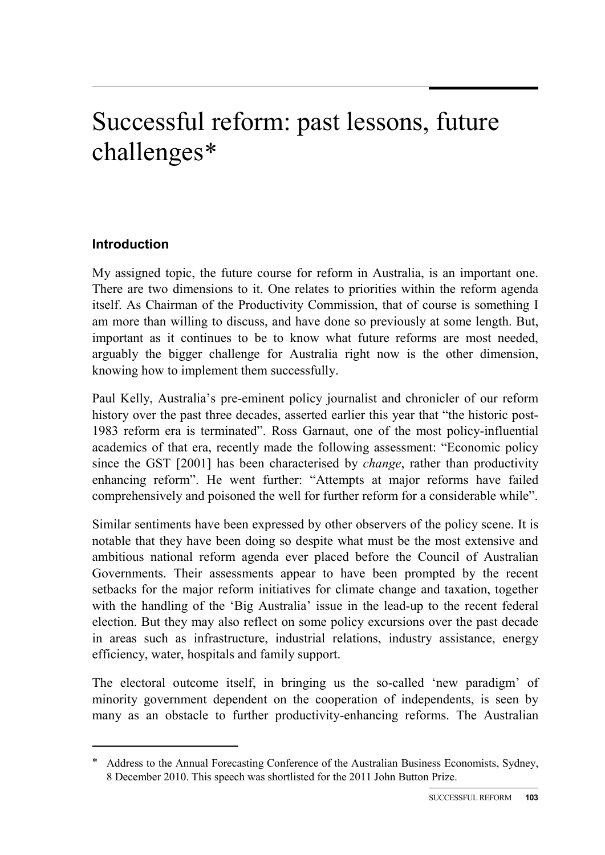# Successful reform: past lessons, future challenges[∗](#page-0-0)

#### **Introduction**

-

My assigned topic, the future course for reform in Australia, is an important one. There are two dimensions to it. One relates to priorities within the reform agenda itself. As Chairman of the Productivity Commission, that of course is something I am more than willing to discuss, and have done so previously at some length. But, important as it continues to be to know what future reforms are most needed, arguably the bigger challenge for Australia right now is the other dimension, knowing how to implement them successfully.

Paul Kelly, Australia's pre-eminent policy journalist and chronicler of our reform history over the past three decades, asserted earlier this year that "the historic post-1983 reform era is terminated". Ross Garnaut, one of the most policy-influential academics of that era, recently made the following assessment: "Economic policy since the GST [2001] has been characterised by *change*, rather than productivity enhancing reform". He went further: "Attempts at major reforms have failed comprehensively and poisoned the well for further reform for a considerable while".

Similar sentiments have been expressed by other observers of the policy scene. It is notable that they have been doing so despite what must be the most extensive and ambitious national reform agenda ever placed before the Council of Australian Governments. Their assessments appear to have been prompted by the recent setbacks for the major reform initiatives for climate change and taxation, together with the handling of the 'Big Australia' issue in the lead-up to the recent federal election. But they may also reflect on some policy excursions over the past decade in areas such as infrastructure, industrial relations, industry assistance, energy efficiency, water, hospitals and family support.

The electoral outcome itself, in bringing us the so-called 'new paradigm' of minority government dependent on the cooperation of independents, is seen by many as an obstacle to further productivity-enhancing reforms. The Australian

<span id="page-0-0"></span>Address to the Annual Forecasting Conference of the Australian Business Economists, Sydney, 8 December 2010. This speech was shortlisted for the 2011 John Button Prize.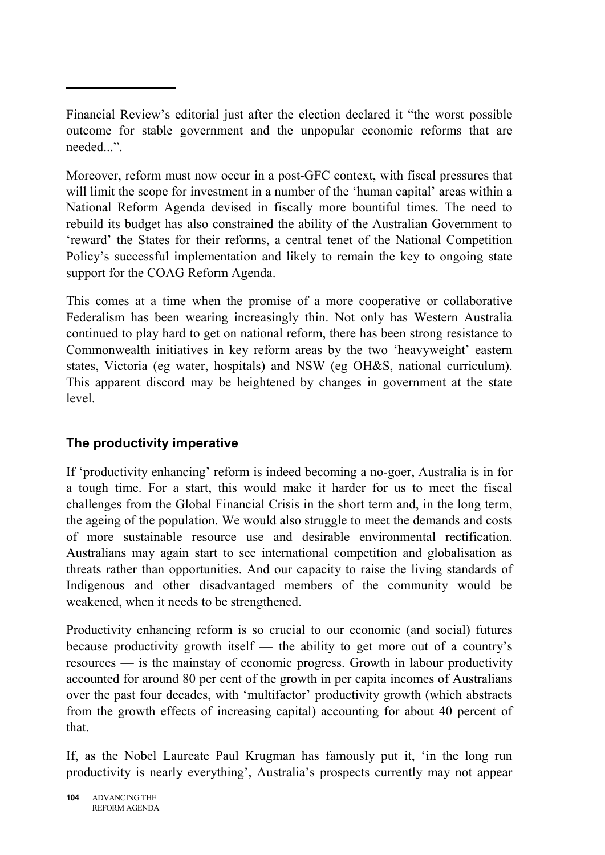Financial Review's editorial just after the election declared it "the worst possible outcome for stable government and the unpopular economic reforms that are needed..."

Moreover, reform must now occur in a post-GFC context, with fiscal pressures that will limit the scope for investment in a number of the 'human capital' areas within a National Reform Agenda devised in fiscally more bountiful times. The need to rebuild its budget has also constrained the ability of the Australian Government to 'reward' the States for their reforms, a central tenet of the National Competition Policy's successful implementation and likely to remain the key to ongoing state support for the COAG Reform Agenda.

This comes at a time when the promise of a more cooperative or collaborative Federalism has been wearing increasingly thin. Not only has Western Australia continued to play hard to get on national reform, there has been strong resistance to Commonwealth initiatives in key reform areas by the two 'heavyweight' eastern states, Victoria (eg water, hospitals) and NSW (eg OH&S, national curriculum). This apparent discord may be heightened by changes in government at the state level.

# **The productivity imperative**

If 'productivity enhancing' reform is indeed becoming a no-goer, Australia is in for a tough time. For a start, this would make it harder for us to meet the fiscal challenges from the Global Financial Crisis in the short term and, in the long term, the ageing of the population. We would also struggle to meet the demands and costs of more sustainable resource use and desirable environmental rectification. Australians may again start to see international competition and globalisation as threats rather than opportunities. And our capacity to raise the living standards of Indigenous and other disadvantaged members of the community would be weakened, when it needs to be strengthened.

Productivity enhancing reform is so crucial to our economic (and social) futures because productivity growth itself — the ability to get more out of a country's resources — is the mainstay of economic progress. Growth in labour productivity accounted for around 80 per cent of the growth in per capita incomes of Australians over the past four decades, with 'multifactor' productivity growth (which abstracts from the growth effects of increasing capital) accounting for about 40 percent of that.

If, as the Nobel Laureate Paul Krugman has famously put it, 'in the long run productivity is nearly everything', Australia's prospects currently may not appear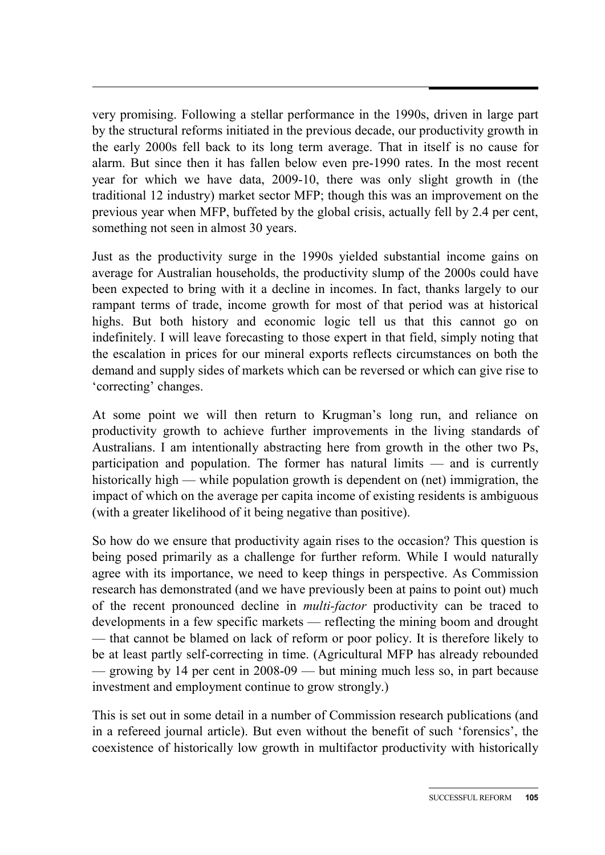very promising. Following a stellar performance in the 1990s, driven in large part by the structural reforms initiated in the previous decade, our productivity growth in the early 2000s fell back to its long term average. That in itself is no cause for alarm. But since then it has fallen below even pre-1990 rates. In the most recent year for which we have data, 2009-10, there was only slight growth in (the traditional 12 industry) market sector MFP; though this was an improvement on the previous year when MFP, buffeted by the global crisis, actually fell by 2.4 per cent, something not seen in almost 30 years.

Just as the productivity surge in the 1990s yielded substantial income gains on average for Australian households, the productivity slump of the 2000s could have been expected to bring with it a decline in incomes. In fact, thanks largely to our rampant terms of trade, income growth for most of that period was at historical highs. But both history and economic logic tell us that this cannot go on indefinitely. I will leave forecasting to those expert in that field, simply noting that the escalation in prices for our mineral exports reflects circumstances on both the demand and supply sides of markets which can be reversed or which can give rise to 'correcting' changes.

At some point we will then return to Krugman's long run, and reliance on productivity growth to achieve further improvements in the living standards of Australians. I am intentionally abstracting here from growth in the other two Ps, participation and population. The former has natural limits — and is currently historically high — while population growth is dependent on (net) immigration, the impact of which on the average per capita income of existing residents is ambiguous (with a greater likelihood of it being negative than positive).

So how do we ensure that productivity again rises to the occasion? This question is being posed primarily as a challenge for further reform. While I would naturally agree with its importance, we need to keep things in perspective. As Commission research has demonstrated (and we have previously been at pains to point out) much of the recent pronounced decline in *multi-factor* productivity can be traced to developments in a few specific markets — reflecting the mining boom and drought — that cannot be blamed on lack of reform or poor policy. It is therefore likely to be at least partly self-correcting in time. (Agricultural MFP has already rebounded — growing by 14 per cent in 2008-09 — but mining much less so, in part because investment and employment continue to grow strongly.)

This is set out in some detail in a number of Commission research publications (and in a refereed journal article). But even without the benefit of such 'forensics', the coexistence of historically low growth in multifactor productivity with historically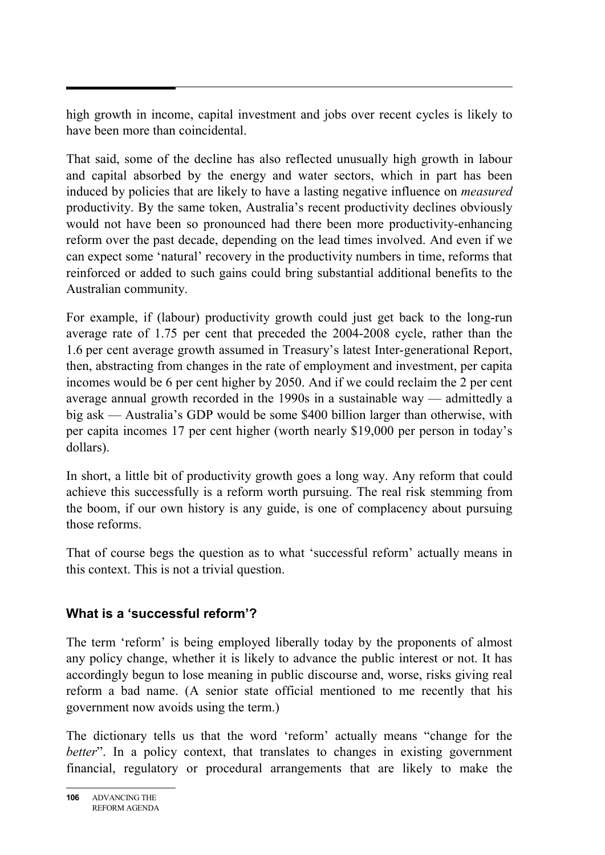high growth in income, capital investment and jobs over recent cycles is likely to have been more than coincidental.

That said, some of the decline has also reflected unusually high growth in labour and capital absorbed by the energy and water sectors, which in part has been induced by policies that are likely to have a lasting negative influence on *measured* productivity. By the same token, Australia's recent productivity declines obviously would not have been so pronounced had there been more productivity-enhancing reform over the past decade, depending on the lead times involved. And even if we can expect some 'natural' recovery in the productivity numbers in time, reforms that reinforced or added to such gains could bring substantial additional benefits to the Australian community.

For example, if (labour) productivity growth could just get back to the long-run average rate of 1.75 per cent that preceded the 2004-2008 cycle, rather than the 1.6 per cent average growth assumed in Treasury's latest Inter-generational Report, then, abstracting from changes in the rate of employment and investment, per capita incomes would be 6 per cent higher by 2050. And if we could reclaim the 2 per cent average annual growth recorded in the 1990s in a sustainable way — admittedly a big ask — Australia's GDP would be some \$400 billion larger than otherwise, with per capita incomes 17 per cent higher (worth nearly \$19,000 per person in today's dollars).

In short, a little bit of productivity growth goes a long way. Any reform that could achieve this successfully is a reform worth pursuing. The real risk stemming from the boom, if our own history is any guide, is one of complacency about pursuing those reforms.

That of course begs the question as to what 'successful reform' actually means in this context. This is not a trivial question.

# **What is a 'successful reform'?**

The term 'reform' is being employed liberally today by the proponents of almost any policy change, whether it is likely to advance the public interest or not. It has accordingly begun to lose meaning in public discourse and, worse, risks giving real reform a bad name. (A senior state official mentioned to me recently that his government now avoids using the term.)

The dictionary tells us that the word 'reform' actually means "change for the *better*". In a policy context, that translates to changes in existing government financial, regulatory or procedural arrangements that are likely to make the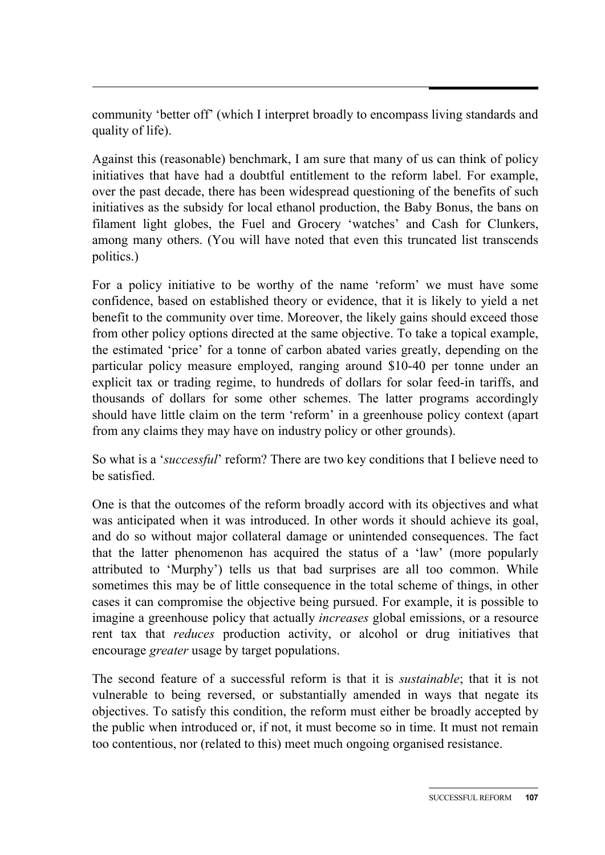community 'better off' (which I interpret broadly to encompass living standards and quality of life).

Against this (reasonable) benchmark, I am sure that many of us can think of policy initiatives that have had a doubtful entitlement to the reform label. For example, over the past decade, there has been widespread questioning of the benefits of such initiatives as the subsidy for local ethanol production, the Baby Bonus, the bans on filament light globes, the Fuel and Grocery 'watches' and Cash for Clunkers, among many others. (You will have noted that even this truncated list transcends politics.)

For a policy initiative to be worthy of the name 'reform' we must have some confidence, based on established theory or evidence, that it is likely to yield a net benefit to the community over time. Moreover, the likely gains should exceed those from other policy options directed at the same objective. To take a topical example, the estimated 'price' for a tonne of carbon abated varies greatly, depending on the particular policy measure employed, ranging around \$10-40 per tonne under an explicit tax or trading regime, to hundreds of dollars for solar feed-in tariffs, and thousands of dollars for some other schemes. The latter programs accordingly should have little claim on the term 'reform' in a greenhouse policy context (apart from any claims they may have on industry policy or other grounds).

So what is a '*successful*' reform? There are two key conditions that I believe need to be satisfied.

One is that the outcomes of the reform broadly accord with its objectives and what was anticipated when it was introduced. In other words it should achieve its goal, and do so without major collateral damage or unintended consequences. The fact that the latter phenomenon has acquired the status of a 'law' (more popularly attributed to 'Murphy') tells us that bad surprises are all too common. While sometimes this may be of little consequence in the total scheme of things, in other cases it can compromise the objective being pursued. For example, it is possible to imagine a greenhouse policy that actually *increases* global emissions, or a resource rent tax that *reduces* production activity, or alcohol or drug initiatives that encourage *greater* usage by target populations.

The second feature of a successful reform is that it is *sustainable*; that it is not vulnerable to being reversed, or substantially amended in ways that negate its objectives. To satisfy this condition, the reform must either be broadly accepted by the public when introduced or, if not, it must become so in time. It must not remain too contentious, nor (related to this) meet much ongoing organised resistance.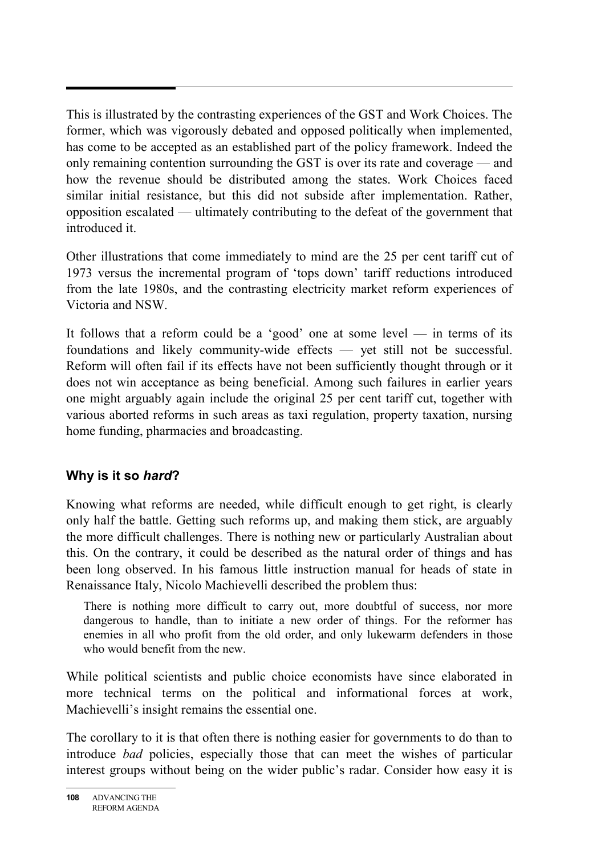This is illustrated by the contrasting experiences of the GST and Work Choices. The former, which was vigorously debated and opposed politically when implemented, has come to be accepted as an established part of the policy framework. Indeed the only remaining contention surrounding the GST is over its rate and coverage — and how the revenue should be distributed among the states. Work Choices faced similar initial resistance, but this did not subside after implementation. Rather, opposition escalated — ultimately contributing to the defeat of the government that introduced it.

Other illustrations that come immediately to mind are the 25 per cent tariff cut of 1973 versus the incremental program of 'tops down' tariff reductions introduced from the late 1980s, and the contrasting electricity market reform experiences of Victoria and NSW.

It follows that a reform could be a 'good' one at some level — in terms of its foundations and likely community-wide effects — yet still not be successful. Reform will often fail if its effects have not been sufficiently thought through or it does not win acceptance as being beneficial. Among such failures in earlier years one might arguably again include the original 25 per cent tariff cut, together with various aborted reforms in such areas as taxi regulation, property taxation, nursing home funding, pharmacies and broadcasting.

# **Why is it so** *hard***?**

Knowing what reforms are needed, while difficult enough to get right, is clearly only half the battle. Getting such reforms up, and making them stick, are arguably the more difficult challenges. There is nothing new or particularly Australian about this. On the contrary, it could be described as the natural order of things and has been long observed. In his famous little instruction manual for heads of state in Renaissance Italy, Nicolo Machievelli described the problem thus:

There is nothing more difficult to carry out, more doubtful of success, nor more dangerous to handle, than to initiate a new order of things. For the reformer has enemies in all who profit from the old order, and only lukewarm defenders in those who would benefit from the new.

While political scientists and public choice economists have since elaborated in more technical terms on the political and informational forces at work, Machievelli's insight remains the essential one.

The corollary to it is that often there is nothing easier for governments to do than to introduce *bad* policies, especially those that can meet the wishes of particular interest groups without being on the wider public's radar. Consider how easy it is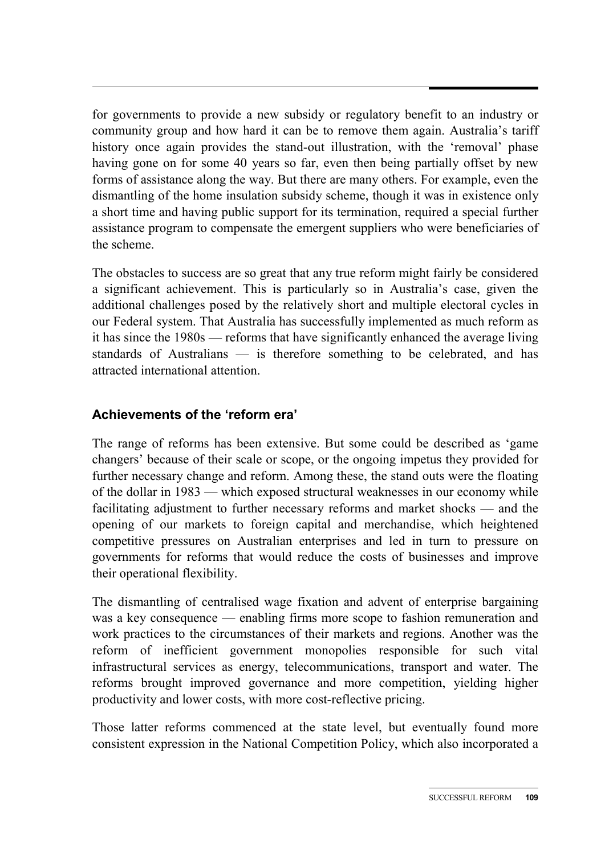for governments to provide a new subsidy or regulatory benefit to an industry or community group and how hard it can be to remove them again. Australia's tariff history once again provides the stand-out illustration, with the 'removal' phase having gone on for some 40 years so far, even then being partially offset by new forms of assistance along the way. But there are many others. For example, even the dismantling of the home insulation subsidy scheme, though it was in existence only a short time and having public support for its termination, required a special further assistance program to compensate the emergent suppliers who were beneficiaries of the scheme.

The obstacles to success are so great that any true reform might fairly be considered a significant achievement. This is particularly so in Australia's case, given the additional challenges posed by the relatively short and multiple electoral cycles in our Federal system. That Australia has successfully implemented as much reform as it has since the 1980s — reforms that have significantly enhanced the average living standards of Australians — is therefore something to be celebrated, and has attracted international attention.

#### **Achievements of the 'reform era'**

The range of reforms has been extensive. But some could be described as 'game changers' because of their scale or scope, or the ongoing impetus they provided for further necessary change and reform. Among these, the stand outs were the floating of the dollar in 1983 — which exposed structural weaknesses in our economy while facilitating adjustment to further necessary reforms and market shocks — and the opening of our markets to foreign capital and merchandise, which heightened competitive pressures on Australian enterprises and led in turn to pressure on governments for reforms that would reduce the costs of businesses and improve their operational flexibility.

The dismantling of centralised wage fixation and advent of enterprise bargaining was a key consequence — enabling firms more scope to fashion remuneration and work practices to the circumstances of their markets and regions. Another was the reform of inefficient government monopolies responsible for such vital infrastructural services as energy, telecommunications, transport and water. The reforms brought improved governance and more competition, yielding higher productivity and lower costs, with more cost-reflective pricing.

Those latter reforms commenced at the state level, but eventually found more consistent expression in the National Competition Policy, which also incorporated a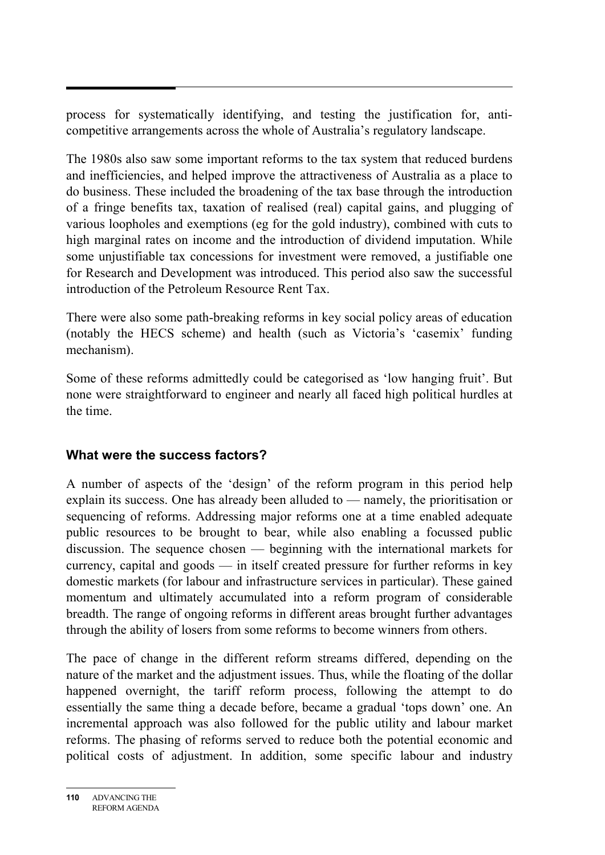process for systematically identifying, and testing the justification for, anticompetitive arrangements across the whole of Australia's regulatory landscape.

The 1980s also saw some important reforms to the tax system that reduced burdens and inefficiencies, and helped improve the attractiveness of Australia as a place to do business. These included the broadening of the tax base through the introduction of a fringe benefits tax, taxation of realised (real) capital gains, and plugging of various loopholes and exemptions (eg for the gold industry), combined with cuts to high marginal rates on income and the introduction of dividend imputation. While some unjustifiable tax concessions for investment were removed, a justifiable one for Research and Development was introduced. This period also saw the successful introduction of the Petroleum Resource Rent Tax.

There were also some path-breaking reforms in key social policy areas of education (notably the HECS scheme) and health (such as Victoria's 'casemix' funding mechanism).

Some of these reforms admittedly could be categorised as 'low hanging fruit'. But none were straightforward to engineer and nearly all faced high political hurdles at the time.

# **What were the success factors?**

A number of aspects of the 'design' of the reform program in this period help explain its success. One has already been alluded to — namely, the prioritisation or sequencing of reforms. Addressing major reforms one at a time enabled adequate public resources to be brought to bear, while also enabling a focussed public discussion. The sequence chosen — beginning with the international markets for currency, capital and goods — in itself created pressure for further reforms in key domestic markets (for labour and infrastructure services in particular). These gained momentum and ultimately accumulated into a reform program of considerable breadth. The range of ongoing reforms in different areas brought further advantages through the ability of losers from some reforms to become winners from others.

The pace of change in the different reform streams differed, depending on the nature of the market and the adjustment issues. Thus, while the floating of the dollar happened overnight, the tariff reform process, following the attempt to do essentially the same thing a decade before, became a gradual 'tops down' one. An incremental approach was also followed for the public utility and labour market reforms. The phasing of reforms served to reduce both the potential economic and political costs of adjustment. In addition, some specific labour and industry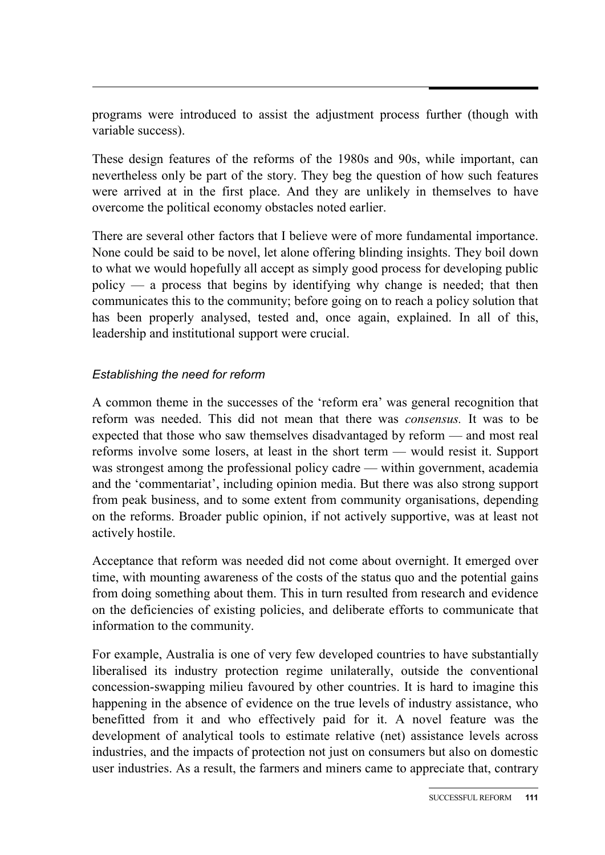programs were introduced to assist the adjustment process further (though with variable success).

These design features of the reforms of the 1980s and 90s, while important, can nevertheless only be part of the story. They beg the question of how such features were arrived at in the first place. And they are unlikely in themselves to have overcome the political economy obstacles noted earlier.

There are several other factors that I believe were of more fundamental importance. None could be said to be novel, let alone offering blinding insights. They boil down to what we would hopefully all accept as simply good process for developing public policy — a process that begins by identifying why change is needed; that then communicates this to the community; before going on to reach a policy solution that has been properly analysed, tested and, once again, explained. In all of this, leadership and institutional support were crucial.

#### *Establishing the need for reform*

A common theme in the successes of the 'reform era' was general recognition that reform was needed. This did not mean that there was *consensus.* It was to be expected that those who saw themselves disadvantaged by reform — and most real reforms involve some losers, at least in the short term — would resist it. Support was strongest among the professional policy cadre — within government, academia and the 'commentariat', including opinion media. But there was also strong support from peak business, and to some extent from community organisations, depending on the reforms. Broader public opinion, if not actively supportive, was at least not actively hostile.

Acceptance that reform was needed did not come about overnight. It emerged over time, with mounting awareness of the costs of the status quo and the potential gains from doing something about them. This in turn resulted from research and evidence on the deficiencies of existing policies, and deliberate efforts to communicate that information to the community.

For example, Australia is one of very few developed countries to have substantially liberalised its industry protection regime unilaterally, outside the conventional concession-swapping milieu favoured by other countries. It is hard to imagine this happening in the absence of evidence on the true levels of industry assistance, who benefitted from it and who effectively paid for it. A novel feature was the development of analytical tools to estimate relative (net) assistance levels across industries, and the impacts of protection not just on consumers but also on domestic user industries. As a result, the farmers and miners came to appreciate that, contrary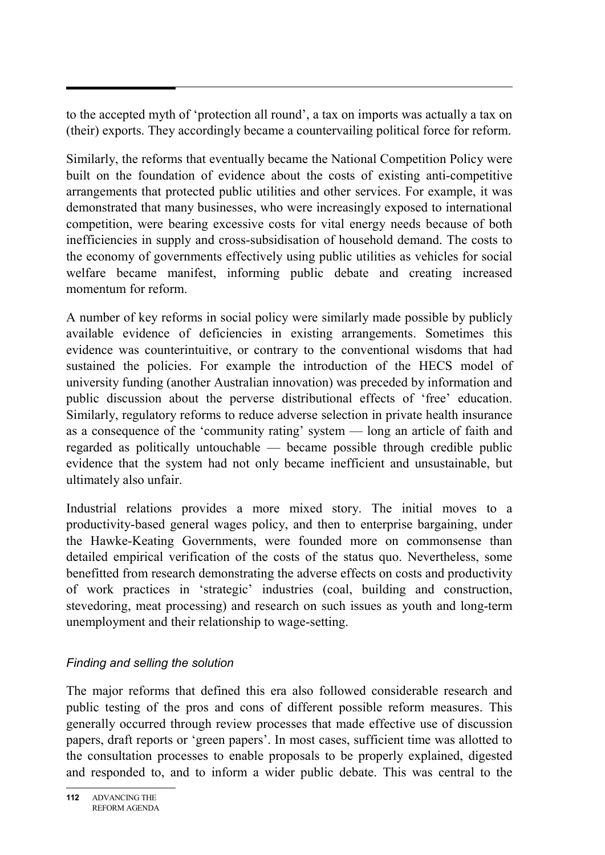to the accepted myth of 'protection all round', a tax on imports was actually a tax on (their) exports. They accordingly became a countervailing political force for reform.

Similarly, the reforms that eventually became the National Competition Policy were built on the foundation of evidence about the costs of existing anti-competitive arrangements that protected public utilities and other services. For example, it was demonstrated that many businesses, who were increasingly exposed to international competition, were bearing excessive costs for vital energy needs because of both inefficiencies in supply and cross-subsidisation of household demand. The costs to the economy of governments effectively using public utilities as vehicles for social welfare became manifest, informing public debate and creating increased momentum for reform.

A number of key reforms in social policy were similarly made possible by publicly available evidence of deficiencies in existing arrangements. Sometimes this evidence was counterintuitive, or contrary to the conventional wisdoms that had sustained the policies. For example the introduction of the HECS model of university funding (another Australian innovation) was preceded by information and public discussion about the perverse distributional effects of 'free' education. Similarly, regulatory reforms to reduce adverse selection in private health insurance as a consequence of the 'community rating' system — long an article of faith and regarded as politically untouchable — became possible through credible public evidence that the system had not only became inefficient and unsustainable, but ultimately also unfair.

Industrial relations provides a more mixed story. The initial moves to a productivity-based general wages policy, and then to enterprise bargaining, under the Hawke-Keating Governments, were founded more on commonsense than detailed empirical verification of the costs of the status quo. Nevertheless, some benefitted from research demonstrating the adverse effects on costs and productivity of work practices in 'strategic' industries (coal, building and construction, stevedoring, meat processing) and research on such issues as youth and long-term unemployment and their relationship to wage-setting.

# *Finding and selling the solution*

The major reforms that defined this era also followed considerable research and public testing of the pros and cons of different possible reform measures. This generally occurred through review processes that made effective use of discussion papers, draft reports or 'green papers'. In most cases, sufficient time was allotted to the consultation processes to enable proposals to be properly explained, digested and responded to, and to inform a wider public debate. This was central to the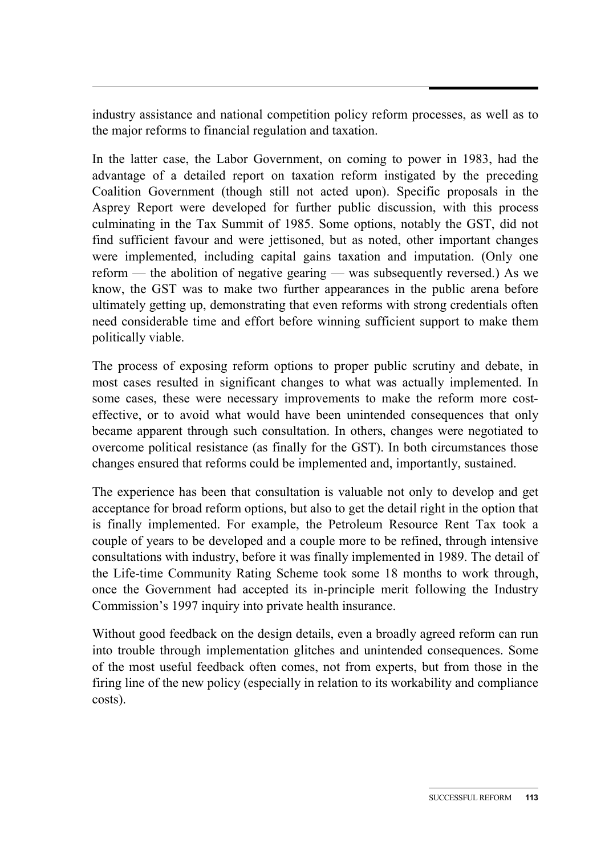industry assistance and national competition policy reform processes, as well as to the major reforms to financial regulation and taxation.

In the latter case, the Labor Government, on coming to power in 1983, had the advantage of a detailed report on taxation reform instigated by the preceding Coalition Government (though still not acted upon). Specific proposals in the Asprey Report were developed for further public discussion, with this process culminating in the Tax Summit of 1985. Some options, notably the GST, did not find sufficient favour and were jettisoned, but as noted, other important changes were implemented, including capital gains taxation and imputation. (Only one reform — the abolition of negative gearing — was subsequently reversed.) As we know, the GST was to make two further appearances in the public arena before ultimately getting up, demonstrating that even reforms with strong credentials often need considerable time and effort before winning sufficient support to make them politically viable.

The process of exposing reform options to proper public scrutiny and debate, in most cases resulted in significant changes to what was actually implemented. In some cases, these were necessary improvements to make the reform more costeffective, or to avoid what would have been unintended consequences that only became apparent through such consultation. In others, changes were negotiated to overcome political resistance (as finally for the GST). In both circumstances those changes ensured that reforms could be implemented and, importantly, sustained.

The experience has been that consultation is valuable not only to develop and get acceptance for broad reform options, but also to get the detail right in the option that is finally implemented. For example, the Petroleum Resource Rent Tax took a couple of years to be developed and a couple more to be refined, through intensive consultations with industry, before it was finally implemented in 1989. The detail of the Life-time Community Rating Scheme took some 18 months to work through, once the Government had accepted its in-principle merit following the Industry Commission's 1997 inquiry into private health insurance.

Without good feedback on the design details, even a broadly agreed reform can run into trouble through implementation glitches and unintended consequences. Some of the most useful feedback often comes, not from experts, but from those in the firing line of the new policy (especially in relation to its workability and compliance costs).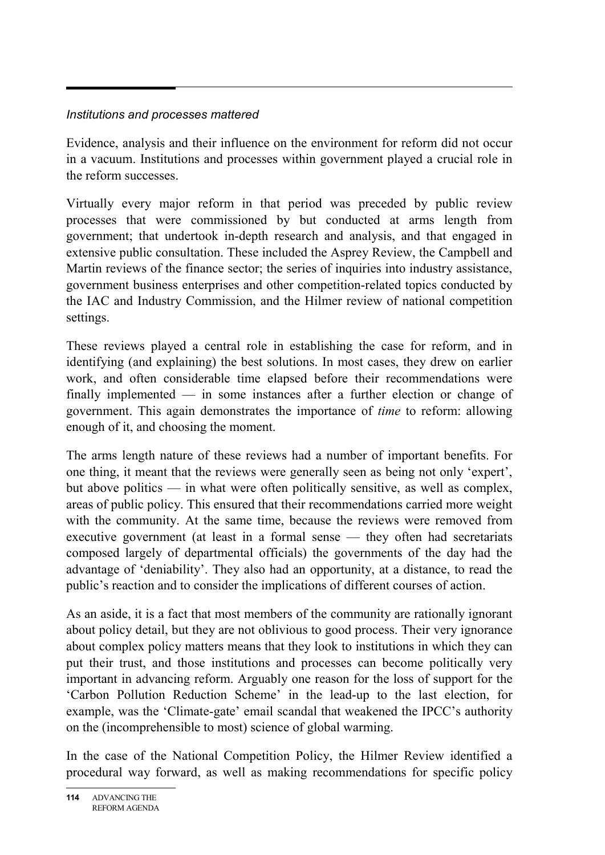#### *Institutions and processes mattered*

Evidence, analysis and their influence on the environment for reform did not occur in a vacuum. Institutions and processes within government played a crucial role in the reform successes.

Virtually every major reform in that period was preceded by public review processes that were commissioned by but conducted at arms length from government; that undertook in-depth research and analysis, and that engaged in extensive public consultation. These included the Asprey Review, the Campbell and Martin reviews of the finance sector; the series of inquiries into industry assistance, government business enterprises and other competition-related topics conducted by the IAC and Industry Commission, and the Hilmer review of national competition settings.

These reviews played a central role in establishing the case for reform, and in identifying (and explaining) the best solutions. In most cases, they drew on earlier work, and often considerable time elapsed before their recommendations were finally implemented — in some instances after a further election or change of government. This again demonstrates the importance of *time* to reform: allowing enough of it, and choosing the moment.

The arms length nature of these reviews had a number of important benefits. For one thing, it meant that the reviews were generally seen as being not only 'expert', but above politics — in what were often politically sensitive, as well as complex, areas of public policy. This ensured that their recommendations carried more weight with the community. At the same time, because the reviews were removed from executive government (at least in a formal sense — they often had secretariats composed largely of departmental officials) the governments of the day had the advantage of 'deniability'. They also had an opportunity, at a distance, to read the public's reaction and to consider the implications of different courses of action.

As an aside, it is a fact that most members of the community are rationally ignorant about policy detail, but they are not oblivious to good process. Their very ignorance about complex policy matters means that they look to institutions in which they can put their trust, and those institutions and processes can become politically very important in advancing reform. Arguably one reason for the loss of support for the 'Carbon Pollution Reduction Scheme' in the lead-up to the last election, for example, was the 'Climate-gate' email scandal that weakened the IPCC's authority on the (incomprehensible to most) science of global warming.

In the case of the National Competition Policy, the Hilmer Review identified a procedural way forward, as well as making recommendations for specific policy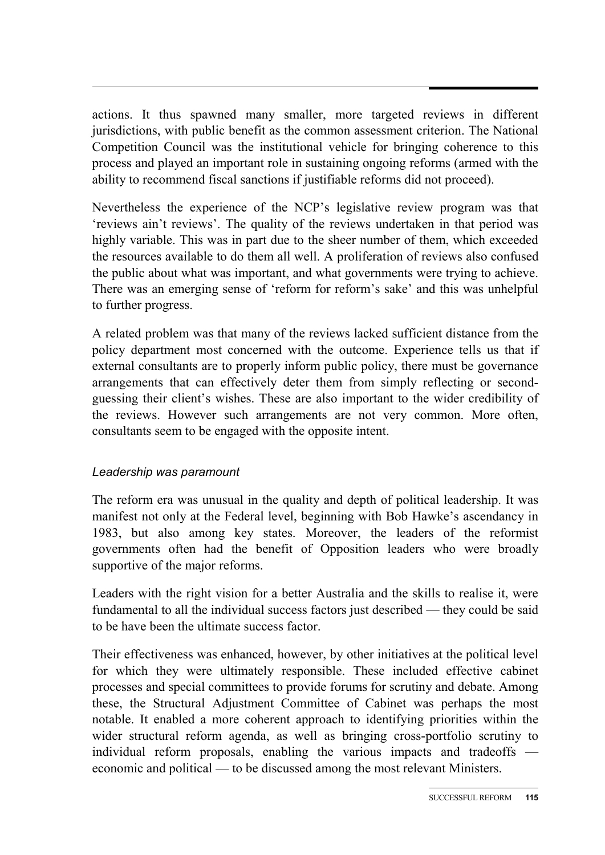actions. It thus spawned many smaller, more targeted reviews in different jurisdictions, with public benefit as the common assessment criterion. The National Competition Council was the institutional vehicle for bringing coherence to this process and played an important role in sustaining ongoing reforms (armed with the ability to recommend fiscal sanctions if justifiable reforms did not proceed).

Nevertheless the experience of the NCP's legislative review program was that 'reviews ain't reviews'. The quality of the reviews undertaken in that period was highly variable. This was in part due to the sheer number of them, which exceeded the resources available to do them all well. A proliferation of reviews also confused the public about what was important, and what governments were trying to achieve. There was an emerging sense of 'reform for reform's sake' and this was unhelpful to further progress.

A related problem was that many of the reviews lacked sufficient distance from the policy department most concerned with the outcome. Experience tells us that if external consultants are to properly inform public policy, there must be governance arrangements that can effectively deter them from simply reflecting or secondguessing their client's wishes. These are also important to the wider credibility of the reviews. However such arrangements are not very common. More often, consultants seem to be engaged with the opposite intent.

#### *Leadership was paramount*

The reform era was unusual in the quality and depth of political leadership. It was manifest not only at the Federal level, beginning with Bob Hawke's ascendancy in 1983, but also among key states. Moreover, the leaders of the reformist governments often had the benefit of Opposition leaders who were broadly supportive of the major reforms.

Leaders with the right vision for a better Australia and the skills to realise it, were fundamental to all the individual success factors just described — they could be said to be have been the ultimate success factor.

Their effectiveness was enhanced, however, by other initiatives at the political level for which they were ultimately responsible. These included effective cabinet processes and special committees to provide forums for scrutiny and debate. Among these, the Structural Adjustment Committee of Cabinet was perhaps the most notable. It enabled a more coherent approach to identifying priorities within the wider structural reform agenda, as well as bringing cross-portfolio scrutiny to individual reform proposals, enabling the various impacts and tradeoffs economic and political — to be discussed among the most relevant Ministers.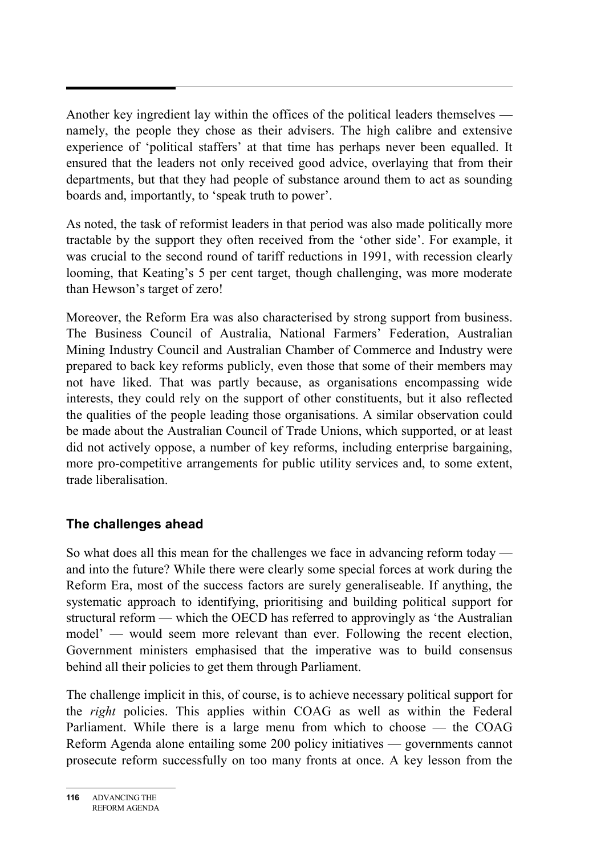Another key ingredient lay within the offices of the political leaders themselves namely, the people they chose as their advisers. The high calibre and extensive experience of 'political staffers' at that time has perhaps never been equalled. It ensured that the leaders not only received good advice, overlaying that from their departments, but that they had people of substance around them to act as sounding boards and, importantly, to 'speak truth to power'.

As noted, the task of reformist leaders in that period was also made politically more tractable by the support they often received from the 'other side'. For example, it was crucial to the second round of tariff reductions in 1991, with recession clearly looming, that Keating's 5 per cent target, though challenging, was more moderate than Hewson's target of zero!

Moreover, the Reform Era was also characterised by strong support from business. The Business Council of Australia, National Farmers' Federation, Australian Mining Industry Council and Australian Chamber of Commerce and Industry were prepared to back key reforms publicly, even those that some of their members may not have liked. That was partly because, as organisations encompassing wide interests, they could rely on the support of other constituents, but it also reflected the qualities of the people leading those organisations. A similar observation could be made about the Australian Council of Trade Unions, which supported, or at least did not actively oppose, a number of key reforms, including enterprise bargaining, more pro-competitive arrangements for public utility services and, to some extent, trade liberalisation.

# **The challenges ahead**

So what does all this mean for the challenges we face in advancing reform today and into the future? While there were clearly some special forces at work during the Reform Era, most of the success factors are surely generaliseable. If anything, the systematic approach to identifying, prioritising and building political support for structural reform — which the OECD has referred to approvingly as 'the Australian model' — would seem more relevant than ever. Following the recent election, Government ministers emphasised that the imperative was to build consensus behind all their policies to get them through Parliament.

The challenge implicit in this, of course, is to achieve necessary political support for the *right* policies. This applies within COAG as well as within the Federal Parliament. While there is a large menu from which to choose — the COAG Reform Agenda alone entailing some 200 policy initiatives — governments cannot prosecute reform successfully on too many fronts at once. A key lesson from the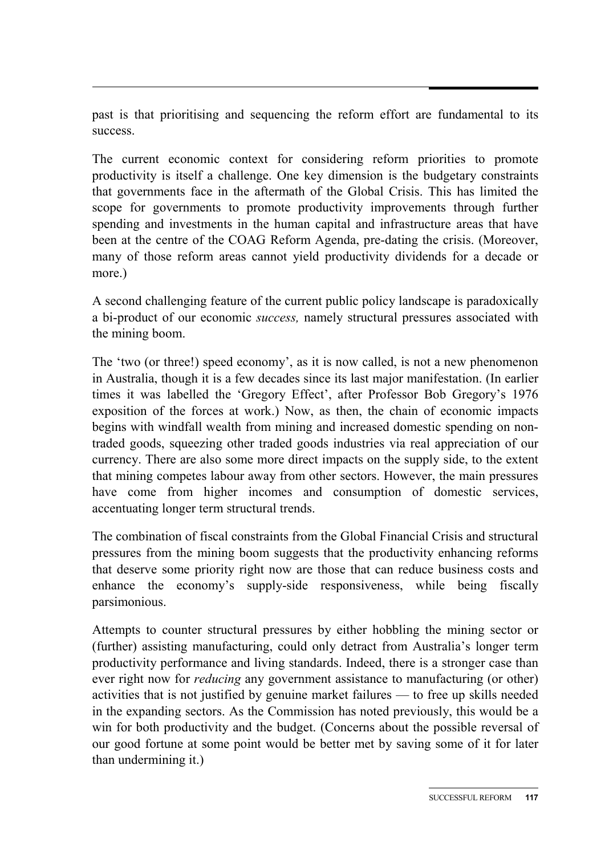past is that prioritising and sequencing the reform effort are fundamental to its success.

The current economic context for considering reform priorities to promote productivity is itself a challenge. One key dimension is the budgetary constraints that governments face in the aftermath of the Global Crisis. This has limited the scope for governments to promote productivity improvements through further spending and investments in the human capital and infrastructure areas that have been at the centre of the COAG Reform Agenda, pre-dating the crisis. (Moreover, many of those reform areas cannot yield productivity dividends for a decade or more.)

A second challenging feature of the current public policy landscape is paradoxically a bi-product of our economic *success,* namely structural pressures associated with the mining boom.

The 'two (or three!) speed economy', as it is now called, is not a new phenomenon in Australia, though it is a few decades since its last major manifestation. (In earlier times it was labelled the 'Gregory Effect', after Professor Bob Gregory's 1976 exposition of the forces at work.) Now, as then, the chain of economic impacts begins with windfall wealth from mining and increased domestic spending on nontraded goods, squeezing other traded goods industries via real appreciation of our currency. There are also some more direct impacts on the supply side, to the extent that mining competes labour away from other sectors. However, the main pressures have come from higher incomes and consumption of domestic services, accentuating longer term structural trends.

The combination of fiscal constraints from the Global Financial Crisis and structural pressures from the mining boom suggests that the productivity enhancing reforms that deserve some priority right now are those that can reduce business costs and enhance the economy's supply-side responsiveness, while being fiscally parsimonious.

Attempts to counter structural pressures by either hobbling the mining sector or (further) assisting manufacturing, could only detract from Australia's longer term productivity performance and living standards. Indeed, there is a stronger case than ever right now for *reducing* any government assistance to manufacturing (or other) activities that is not justified by genuine market failures — to free up skills needed in the expanding sectors. As the Commission has noted previously, this would be a win for both productivity and the budget. (Concerns about the possible reversal of our good fortune at some point would be better met by saving some of it for later than undermining it.)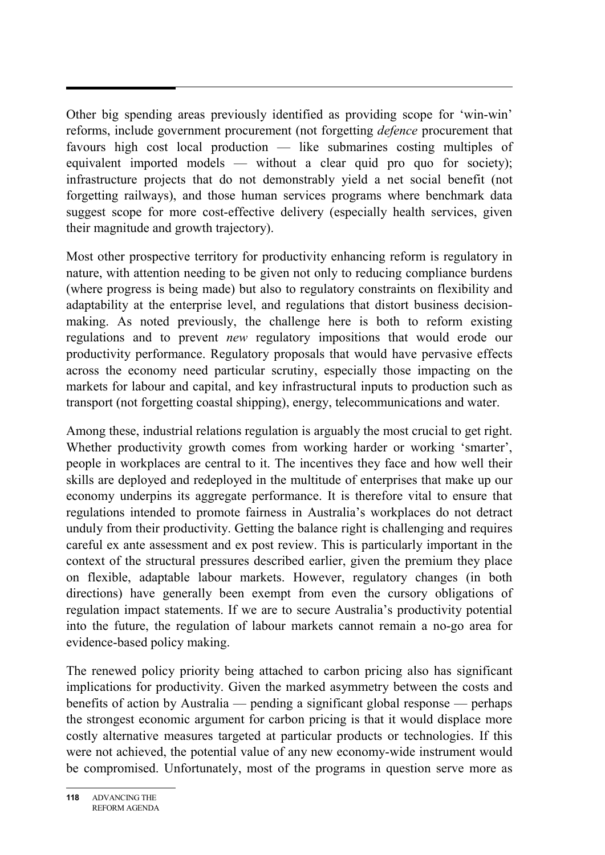Other big spending areas previously identified as providing scope for 'win-win' reforms, include government procurement (not forgetting *defence* procurement that favours high cost local production — like submarines costing multiples of equivalent imported models — without a clear quid pro quo for society); infrastructure projects that do not demonstrably yield a net social benefit (not forgetting railways), and those human services programs where benchmark data suggest scope for more cost-effective delivery (especially health services, given their magnitude and growth trajectory).

Most other prospective territory for productivity enhancing reform is regulatory in nature, with attention needing to be given not only to reducing compliance burdens (where progress is being made) but also to regulatory constraints on flexibility and adaptability at the enterprise level, and regulations that distort business decisionmaking. As noted previously, the challenge here is both to reform existing regulations and to prevent *new* regulatory impositions that would erode our productivity performance. Regulatory proposals that would have pervasive effects across the economy need particular scrutiny, especially those impacting on the markets for labour and capital, and key infrastructural inputs to production such as transport (not forgetting coastal shipping), energy, telecommunications and water.

Among these, industrial relations regulation is arguably the most crucial to get right. Whether productivity growth comes from working harder or working 'smarter', people in workplaces are central to it. The incentives they face and how well their skills are deployed and redeployed in the multitude of enterprises that make up our economy underpins its aggregate performance. It is therefore vital to ensure that regulations intended to promote fairness in Australia's workplaces do not detract unduly from their productivity. Getting the balance right is challenging and requires careful ex ante assessment and ex post review. This is particularly important in the context of the structural pressures described earlier, given the premium they place on flexible, adaptable labour markets. However, regulatory changes (in both directions) have generally been exempt from even the cursory obligations of regulation impact statements. If we are to secure Australia's productivity potential into the future, the regulation of labour markets cannot remain a no-go area for evidence-based policy making.

The renewed policy priority being attached to carbon pricing also has significant implications for productivity. Given the marked asymmetry between the costs and benefits of action by Australia — pending a significant global response — perhaps the strongest economic argument for carbon pricing is that it would displace more costly alternative measures targeted at particular products or technologies. If this were not achieved, the potential value of any new economy-wide instrument would be compromised. Unfortunately, most of the programs in question serve more as